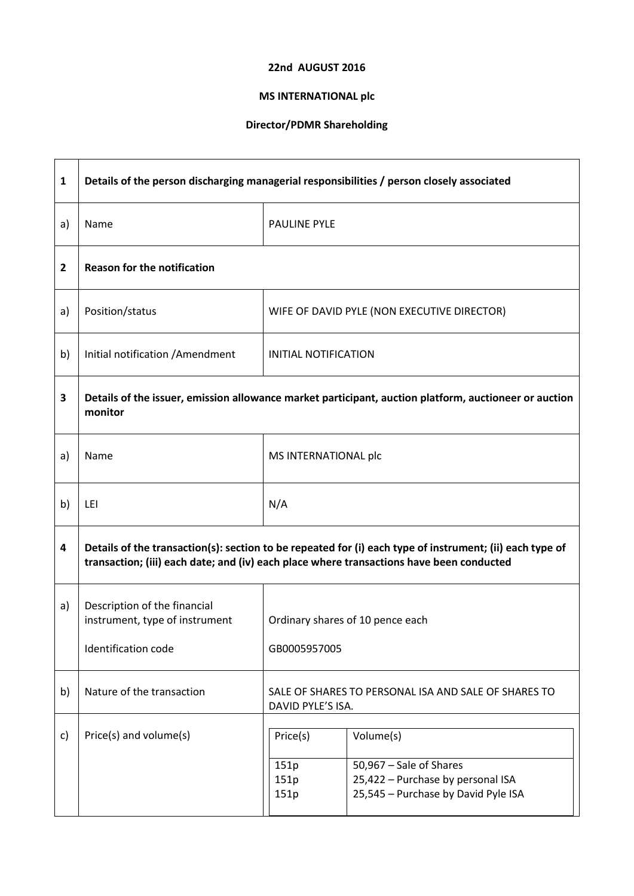## 22nd AUGUST 2016

## MS INTERNATIONAL plc

## Director/PDMR Shareholding

| $\mathbf{1}$   | Details of the person discharging managerial responsibilities / person closely associated                                                                                                            |                                                                           |                                                                                                                  |
|----------------|------------------------------------------------------------------------------------------------------------------------------------------------------------------------------------------------------|---------------------------------------------------------------------------|------------------------------------------------------------------------------------------------------------------|
| a)             | Name                                                                                                                                                                                                 | <b>PAULINE PYLE</b>                                                       |                                                                                                                  |
| $\overline{2}$ | <b>Reason for the notification</b>                                                                                                                                                                   |                                                                           |                                                                                                                  |
| a)             | Position/status                                                                                                                                                                                      |                                                                           | WIFE OF DAVID PYLE (NON EXECUTIVE DIRECTOR)                                                                      |
| b)             | Initial notification / Amendment                                                                                                                                                                     | <b>INITIAL NOTIFICATION</b>                                               |                                                                                                                  |
| 3              | Details of the issuer, emission allowance market participant, auction platform, auctioneer or auction<br>monitor                                                                                     |                                                                           |                                                                                                                  |
| a)             | Name                                                                                                                                                                                                 | MS INTERNATIONAL plc                                                      |                                                                                                                  |
| b)             | LEI                                                                                                                                                                                                  | N/A                                                                       |                                                                                                                  |
| 4              | Details of the transaction(s): section to be repeated for (i) each type of instrument; (ii) each type of<br>transaction; (iii) each date; and (iv) each place where transactions have been conducted |                                                                           |                                                                                                                  |
| a)             | Description of the financial<br>instrument, type of instrument<br><b>Identification code</b>                                                                                                         | Ordinary shares of 10 pence each<br>GB0005957005                          |                                                                                                                  |
| b)             | Nature of the transaction                                                                                                                                                                            | SALE OF SHARES TO PERSONAL ISA AND SALE OF SHARES TO<br>DAVID PYLE'S ISA. |                                                                                                                  |
| c)             | Price(s) and volume(s)                                                                                                                                                                               | Price(s)<br>151p<br>151p<br>151p                                          | Volume(s)<br>50,967 - Sale of Shares<br>25,422 - Purchase by personal ISA<br>25,545 - Purchase by David Pyle ISA |